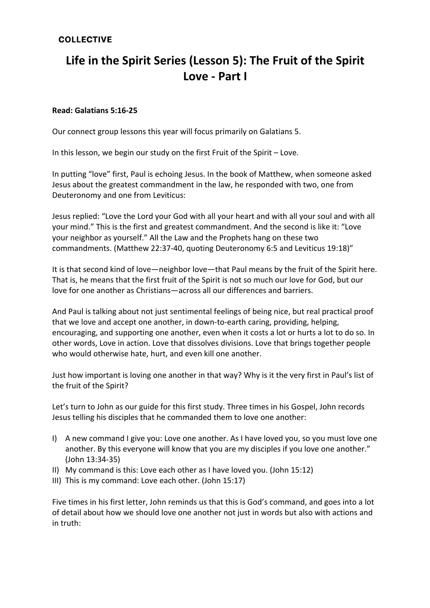## **COLLECTIVE**

# **Life in the Spirit Series (Lesson 5): The Fruit of the Spirit Love - Part I**

#### **Read: Galatians 5:16-25**

Our connect group lessons this year will focus primarily on Galatians 5.

In this lesson, we begin our study on the first Fruit of the Spirit – Love.

In putting "love" first, Paul is echoing Jesus. In the book of Matthew, when someone asked Jesus about the greatest commandment in the law, he responded with two, one from Deuteronomy and one from Leviticus:

Jesus replied: "Love the Lord your God with all your heart and with all your soul and with all your mind." This is the first and greatest commandment. And the second is like it: "Love your neighbor as yourself." All the Law and the Prophets hang on these two commandments. (Matthew 22:37-40, quoting Deuteronomy 6:5 and Leviticus 19:18)"

It is that second kind of love—neighbor love—that Paul means by the fruit of the Spirit here. That is, he means that the first fruit of the Spirit is not so much our love for God, but our love for one another as Christians—across all our differences and barriers.

And Paul is talking about not just sentimental feelings of being nice, but real practical proof that we love and accept one another, in down-to-earth caring, providing, helping, encouraging, and supporting one another, even when it costs a lot or hurts a lot to do so. In other words, Love in action. Love that dissolves divisions. Love that brings together people who would otherwise hate, hurt, and even kill one another.

Just how important is loving one another in that way? Why is it the very first in Paul's list of the fruit of the Spirit?

Let's turn to John as our guide for this first study. Three times in his Gospel, John records Jesus telling his disciples that he commanded them to love one another:

- I) A new command I give you: Love one another. As I have loved you, so you must love one another. By this everyone will know that you are my disciples if you love one another." (John 13:34-35)
- II) My command is this: Love each other as I have loved you. (John 15:12)
- III) This is my command: Love each other. (John 15:17)

Five times in his first letter, John reminds us that this is God's command, and goes into a lot of detail about how we should love one another not just in words but also with actions and in truth: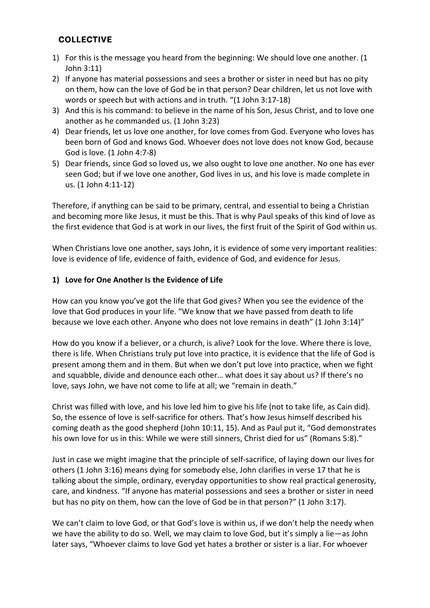## **COLLECTIVE**

- 1) For this is the message you heard from the beginning: We should love one another. (1 John 3:11)
- 2) If anyone has material possessions and sees a brother or sister in need but has no pity on them, how can the love of God be in that person? Dear children, let us not love with words or speech but with actions and in truth. "(1 John 3:17-18)
- 3) And this is his command: to believe in the name of his Son, Jesus Christ, and to love one another as he commanded us. (1 John 3:23)
- 4) Dear friends, let us love one another, for love comes from God. Everyone who loves has been born of God and knows God. Whoever does not love does not know God, because God is love. (1 John 4:7-8)
- 5) Dear friends, since God so loved us, we also ought to love one another. No one has ever seen God; but if we love one another, God lives in us, and his love is made complete in us. (1 John 4:11-12)

Therefore, if anything can be said to be primary, central, and essential to being a Christian and becoming more like Jesus, it must be this. That is why Paul speaks of this kind of love as the first evidence that God is at work in our lives, the first fruit of the Spirit of God within us.

When Christians love one another, says John, it is evidence of some very important realities: love is evidence of life, evidence of faith, evidence of God, and evidence for Jesus.

#### **1) Love for One Another Is the Evidence of Life**

How can you know you've got the life that God gives? When you see the evidence of the love that God produces in your life. "We know that we have passed from death to life because we love each other. Anyone who does not love remains in death" (1 John 3:14)"

How do you know if a believer, or a church, is alive? Look for the love. Where there is love, there is life. When Christians truly put love into practice, it is evidence that the life of God is present among them and in them. But when we don't put love into practice, when we fight and squabble, divide and denounce each other… what does it say about us? If there's no love, says John, we have not come to life at all; we "remain in death."

Christ was filled with love, and his love led him to give his life (not to take life, as Cain did). So, the essence of love is self-sacrifice for others. That's how Jesus himself described his coming death as the good shepherd (John 10:11, 15). And as Paul put it, "God demonstrates his own love for us in this: While we were still sinners, Christ died for us" (Romans 5:8)."

Just in case we might imagine that the principle of self-sacrifice, of laying down our lives for others (1 John 3:16) means dying for somebody else, John clarifies in verse 17 that he is talking about the simple, ordinary, everyday opportunities to show real practical generosity, care, and kindness. "If anyone has material possessions and sees a brother or sister in need but has no pity on them, how can the love of God be in that person?" (1 John 3:17).

We can't claim to love God, or that God's love is within us, if we don't help the needy when we have the ability to do so. Well, we may claim to love God, but it's simply a lie—as John later says, "Whoever claims to love God yet hates a brother or sister is a liar. For whoever